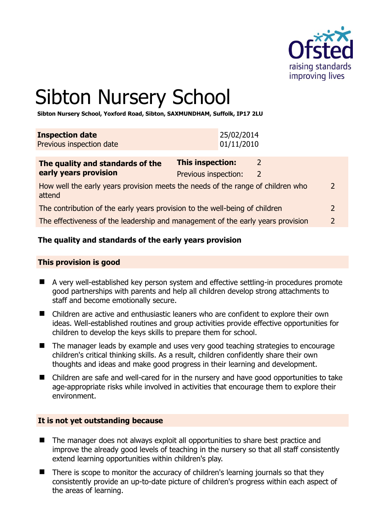

# Sibton Nursery School

**Sibton Nursery School, Yoxford Road, Sibton, SAXMUNDHAM, Suffolk, IP17 2LU** 

| <b>Inspection date</b><br>Previous inspection date         | 25/02/2014<br>01/11/2010 |  |
|------------------------------------------------------------|--------------------------|--|
| The quality and standards of the<br>anuly wanna muayisin w | <b>This inspection:</b>  |  |

| early years provision                                                                     | Previous inspection: |   |
|-------------------------------------------------------------------------------------------|----------------------|---|
| How well the early years provision meets the needs of the range of children who<br>attend |                      | 2 |
| The contribution of the early years provision to the well-being of children               |                      |   |

The effectiveness of the leadership and management of the early years provision 2

# **The quality and standards of the early years provision**

#### **This provision is good**

- A very well-established key person system and effective settling-in procedures promote good partnerships with parents and help all children develop strong attachments to staff and become emotionally secure.
- Children are active and enthusiastic leaners who are confident to explore their own ideas. Well-established routines and group activities provide effective opportunities for children to develop the keys skills to prepare them for school.
- The manager leads by example and uses very good teaching strategies to encourage children's critical thinking skills. As a result, children confidently share their own thoughts and ideas and make good progress in their learning and development.
- Children are safe and well-cared for in the nursery and have good opportunities to take age-appropriate risks while involved in activities that encourage them to explore their environment.

#### **It is not yet outstanding because**

- The manager does not always exploit all opportunities to share best practice and improve the already good levels of teaching in the nursery so that all staff consistently extend learning opportunities within children's play.
- There is scope to monitor the accuracy of children's learning journals so that they consistently provide an up-to-date picture of children's progress within each aspect of the areas of learning.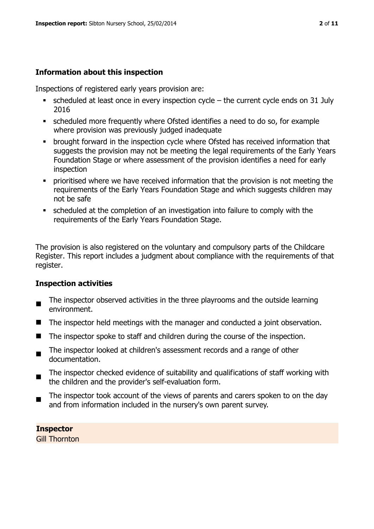# **Information about this inspection**

Inspections of registered early years provision are:

- $\bullet$  scheduled at least once in every inspection cycle the current cycle ends on 31 July 2016
- scheduled more frequently where Ofsted identifies a need to do so, for example where provision was previously judged inadequate
- **•** brought forward in the inspection cycle where Ofsted has received information that suggests the provision may not be meeting the legal requirements of the Early Years Foundation Stage or where assessment of the provision identifies a need for early inspection
- **•** prioritised where we have received information that the provision is not meeting the requirements of the Early Years Foundation Stage and which suggests children may not be safe
- scheduled at the completion of an investigation into failure to comply with the requirements of the Early Years Foundation Stage.

The provision is also registered on the voluntary and compulsory parts of the Childcare Register. This report includes a judgment about compliance with the requirements of that register.

# **Inspection activities**

- $\blacksquare$ The inspector observed activities in the three playrooms and the outside learning environment.
- $\blacksquare$  The inspector held meetings with the manager and conducted a joint observation.
- The inspector spoke to staff and children during the course of the inspection.
- $\blacksquare$ The inspector looked at children's assessment records and a range of other documentation.
- The inspector checked evidence of suitability and qualifications of staff working with the children and the provider's self-evaluation form.
- The inspector took account of the views of parents and carers spoken to on the day and from information included in the nursery's own parent survey.

**Inspector**  Gill Thornton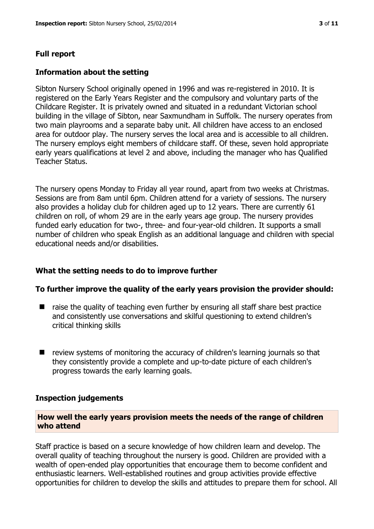# **Full report**

#### **Information about the setting**

Sibton Nursery School originally opened in 1996 and was re-registered in 2010. It is registered on the Early Years Register and the compulsory and voluntary parts of the Childcare Register. It is privately owned and situated in a redundant Victorian school building in the village of Sibton, near Saxmundham in Suffolk. The nursery operates from two main playrooms and a separate baby unit. All children have access to an enclosed area for outdoor play. The nursery serves the local area and is accessible to all children. The nursery employs eight members of childcare staff. Of these, seven hold appropriate early years qualifications at level 2 and above, including the manager who has Qualified Teacher Status.

The nursery opens Monday to Friday all year round, apart from two weeks at Christmas. Sessions are from 8am until 6pm. Children attend for a variety of sessions. The nursery also provides a holiday club for children aged up to 12 years. There are currently 61 children on roll, of whom 29 are in the early years age group. The nursery provides funded early education for two-, three- and four-year-old children. It supports a small number of children who speak English as an additional language and children with special educational needs and/or disabilities.

# **What the setting needs to do to improve further**

#### **To further improve the quality of the early years provision the provider should:**

- $\blacksquare$  raise the quality of teaching even further by ensuring all staff share best practice and consistently use conversations and skilful questioning to extend children's critical thinking skills
- $\blacksquare$  review systems of monitoring the accuracy of children's learning journals so that they consistently provide a complete and up-to-date picture of each children's progress towards the early learning goals.

#### **Inspection judgements**

#### **How well the early years provision meets the needs of the range of children who attend**

Staff practice is based on a secure knowledge of how children learn and develop. The overall quality of teaching throughout the nursery is good. Children are provided with a wealth of open-ended play opportunities that encourage them to become confident and enthusiastic learners. Well-established routines and group activities provide effective opportunities for children to develop the skills and attitudes to prepare them for school. All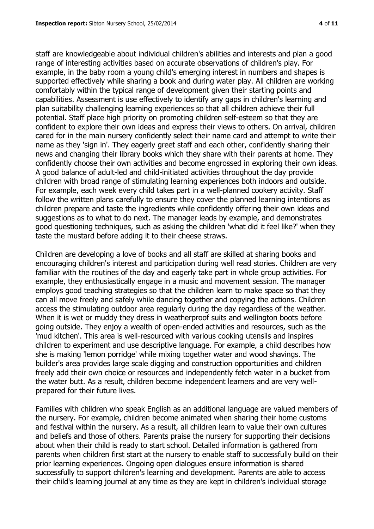staff are knowledgeable about individual children's abilities and interests and plan a good range of interesting activities based on accurate observations of children's play. For example, in the baby room a young child's emerging interest in numbers and shapes is supported effectively while sharing a book and during water play. All children are working comfortably within the typical range of development given their starting points and capabilities. Assessment is use effectively to identify any gaps in children's learning and plan suitability challenging learning experiences so that all children achieve their full potential. Staff place high priority on promoting children self-esteem so that they are confident to explore their own ideas and express their views to others. On arrival, children cared for in the main nursery confidently select their name card and attempt to write their name as they 'sign in'. They eagerly greet staff and each other, confidently sharing their news and changing their library books which they share with their parents at home. They confidently choose their own activities and become engrossed in exploring their own ideas. A good balance of adult-led and child-initiated activities throughout the day provide children with broad range of stimulating learning experiences both indoors and outside. For example, each week every child takes part in a well-planned cookery activity. Staff follow the written plans carefully to ensure they cover the planned learning intentions as children prepare and taste the ingredients while confidently offering their own ideas and suggestions as to what to do next. The manager leads by example, and demonstrates good questioning techniques, such as asking the children 'what did it feel like?' when they taste the mustard before adding it to their cheese straws.

Children are developing a love of books and all staff are skilled at sharing books and encouraging children's interest and participation during well read stories. Children are very familiar with the routines of the day and eagerly take part in whole group activities. For example, they enthusiastically engage in a music and movement session. The manager employs good teaching strategies so that the children learn to make space so that they can all move freely and safely while dancing together and copying the actions. Children access the stimulating outdoor area regularly during the day regardless of the weather. When it is wet or muddy they dress in weatherproof suits and wellington boots before going outside. They enjoy a wealth of open-ended activities and resources, such as the 'mud kitchen'. This area is well-resourced with various cooking utensils and inspires children to experiment and use descriptive language. For example, a child describes how she is making 'lemon porridge' while mixing together water and wood shavings. The builder's area provides large scale digging and construction opportunities and children freely add their own choice or resources and independently fetch water in a bucket from the water butt. As a result, children become independent learners and are very wellprepared for their future lives.

Families with children who speak English as an additional language are valued members of the nursery. For example, children become animated when sharing their home customs and festival within the nursery. As a result, all children learn to value their own cultures and beliefs and those of others. Parents praise the nursery for supporting their decisions about when their child is ready to start school. Detailed information is gathered from parents when children first start at the nursery to enable staff to successfully build on their prior learning experiences. Ongoing open dialogues ensure information is shared successfully to support children's learning and development. Parents are able to access their child's learning journal at any time as they are kept in children's individual storage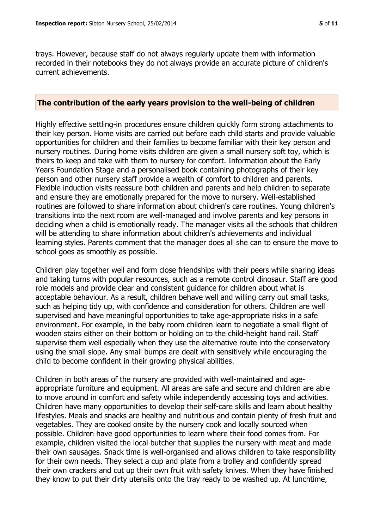trays. However, because staff do not always regularly update them with information recorded in their notebooks they do not always provide an accurate picture of children's current achievements.

#### **The contribution of the early years provision to the well-being of children**

Highly effective settling-in procedures ensure children quickly form strong attachments to their key person. Home visits are carried out before each child starts and provide valuable opportunities for children and their families to become familiar with their key person and nursery routines. During home visits children are given a small nursery soft toy, which is theirs to keep and take with them to nursery for comfort. Information about the Early Years Foundation Stage and a personalised book containing photographs of their key person and other nursery staff provide a wealth of comfort to children and parents. Flexible induction visits reassure both children and parents and help children to separate and ensure they are emotionally prepared for the move to nursery. Well-established routines are followed to share information about children's care routines. Young children's transitions into the next room are well-managed and involve parents and key persons in deciding when a child is emotionally ready. The manager visits all the schools that children will be attending to share information about children's achievements and individual learning styles. Parents comment that the manager does all she can to ensure the move to school goes as smoothly as possible.

Children play together well and form close friendships with their peers while sharing ideas and taking turns with popular resources, such as a remote control dinosaur. Staff are good role models and provide clear and consistent guidance for children about what is acceptable behaviour. As a result, children behave well and willing carry out small tasks, such as helping tidy up, with confidence and consideration for others. Children are well supervised and have meaningful opportunities to take age-appropriate risks in a safe environment. For example, in the baby room children learn to negotiate a small flight of wooden stairs either on their bottom or holding on to the child-height hand rail. Staff supervise them well especially when they use the alternative route into the conservatory using the small slope. Any small bumps are dealt with sensitively while encouraging the child to become confident in their growing physical abilities.

Children in both areas of the nursery are provided with well-maintained and ageappropriate furniture and equipment. All areas are safe and secure and children are able to move around in comfort and safety while independently accessing toys and activities. Children have many opportunities to develop their self-care skills and learn about healthy lifestyles. Meals and snacks are healthy and nutritious and contain plenty of fresh fruit and vegetables. They are cooked onsite by the nursery cook and locally sourced when possible. Children have good opportunities to learn where their food comes from. For example, children visited the local butcher that supplies the nursery with meat and made their own sausages. Snack time is well-organised and allows children to take responsibility for their own needs. They select a cup and plate from a trolley and confidently spread their own crackers and cut up their own fruit with safety knives. When they have finished they know to put their dirty utensils onto the tray ready to be washed up. At lunchtime,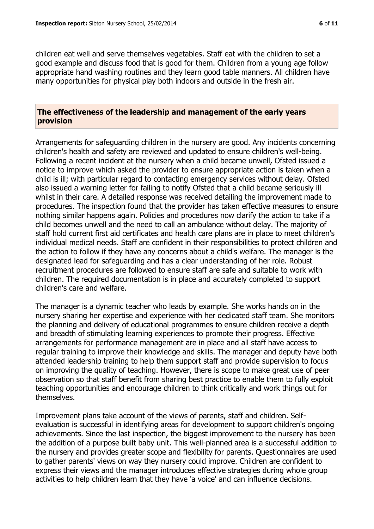children eat well and serve themselves vegetables. Staff eat with the children to set a good example and discuss food that is good for them. Children from a young age follow appropriate hand washing routines and they learn good table manners. All children have many opportunities for physical play both indoors and outside in the fresh air.

#### **The effectiveness of the leadership and management of the early years provision**

Arrangements for safeguarding children in the nursery are good. Any incidents concerning children's health and safety are reviewed and updated to ensure children's well-being. Following a recent incident at the nursery when a child became unwell, Ofsted issued a notice to improve which asked the provider to ensure appropriate action is taken when a child is ill; with particular regard to contacting emergency services without delay. Ofsted also issued a warning letter for failing to notify Ofsted that a child became seriously ill whilst in their care. A detailed response was received detailing the improvement made to procedures. The inspection found that the provider has taken effective measures to ensure nothing similar happens again. Policies and procedures now clarify the action to take if a child becomes unwell and the need to call an ambulance without delay. The majority of staff hold current first aid certificates and health care plans are in place to meet children's individual medical needs. Staff are confident in their responsibilities to protect children and the action to follow if they have any concerns about a child's welfare. The manager is the designated lead for safeguarding and has a clear understanding of her role. Robust recruitment procedures are followed to ensure staff are safe and suitable to work with children. The required documentation is in place and accurately completed to support children's care and welfare.

The manager is a dynamic teacher who leads by example. She works hands on in the nursery sharing her expertise and experience with her dedicated staff team. She monitors the planning and delivery of educational programmes to ensure children receive a depth and breadth of stimulating learning experiences to promote their progress. Effective arrangements for performance management are in place and all staff have access to regular training to improve their knowledge and skills. The manager and deputy have both attended leadership training to help them support staff and provide supervision to focus on improving the quality of teaching. However, there is scope to make great use of peer observation so that staff benefit from sharing best practice to enable them to fully exploit teaching opportunities and encourage children to think critically and work things out for themselves.

Improvement plans take account of the views of parents, staff and children. Selfevaluation is successful in identifying areas for development to support children's ongoing achievements. Since the last inspection, the biggest improvement to the nursery has been the addition of a purpose built baby unit. This well-planned area is a successful addition to the nursery and provides greater scope and flexibility for parents. Questionnaires are used to gather parents' views on way they nursery could improve. Children are confident to express their views and the manager introduces effective strategies during whole group activities to help children learn that they have 'a voice' and can influence decisions.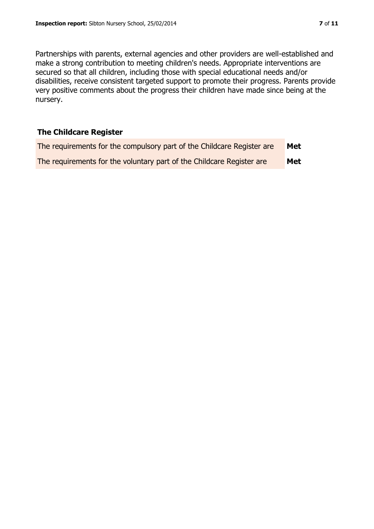Partnerships with parents, external agencies and other providers are well-established and make a strong contribution to meeting children's needs. Appropriate interventions are secured so that all children, including those with special educational needs and/or disabilities, receive consistent targeted support to promote their progress. Parents provide very positive comments about the progress their children have made since being at the nursery.

# **The Childcare Register**

| The requirements for the compulsory part of the Childcare Register are | Met        |
|------------------------------------------------------------------------|------------|
| The requirements for the voluntary part of the Childcare Register are  | <b>Met</b> |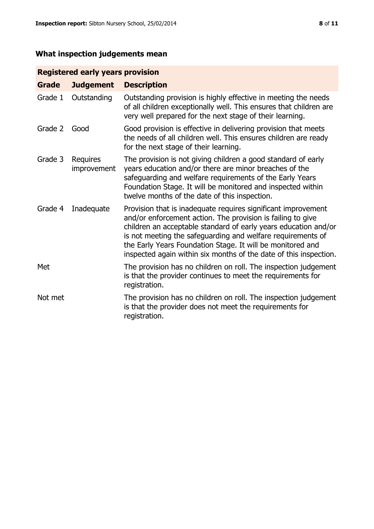# **What inspection judgements mean**

# **Registered early years provision**

| <b>Grade</b> | <b>Judgement</b>        | <b>Description</b>                                                                                                                                                                                                                                                                                                                                                                                |
|--------------|-------------------------|---------------------------------------------------------------------------------------------------------------------------------------------------------------------------------------------------------------------------------------------------------------------------------------------------------------------------------------------------------------------------------------------------|
| Grade 1      | Outstanding             | Outstanding provision is highly effective in meeting the needs<br>of all children exceptionally well. This ensures that children are<br>very well prepared for the next stage of their learning.                                                                                                                                                                                                  |
| Grade 2      | Good                    | Good provision is effective in delivering provision that meets<br>the needs of all children well. This ensures children are ready<br>for the next stage of their learning.                                                                                                                                                                                                                        |
| Grade 3      | Requires<br>improvement | The provision is not giving children a good standard of early<br>years education and/or there are minor breaches of the<br>safeguarding and welfare requirements of the Early Years<br>Foundation Stage. It will be monitored and inspected within<br>twelve months of the date of this inspection.                                                                                               |
| Grade 4      | Inadequate              | Provision that is inadequate requires significant improvement<br>and/or enforcement action. The provision is failing to give<br>children an acceptable standard of early years education and/or<br>is not meeting the safeguarding and welfare requirements of<br>the Early Years Foundation Stage. It will be monitored and<br>inspected again within six months of the date of this inspection. |
| Met          |                         | The provision has no children on roll. The inspection judgement<br>is that the provider continues to meet the requirements for<br>registration.                                                                                                                                                                                                                                                   |
| Not met      |                         | The provision has no children on roll. The inspection judgement<br>is that the provider does not meet the requirements for<br>registration.                                                                                                                                                                                                                                                       |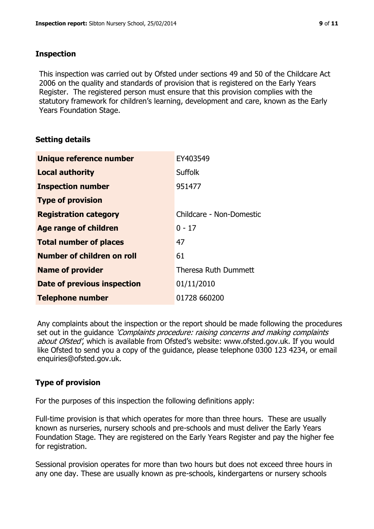## **Inspection**

This inspection was carried out by Ofsted under sections 49 and 50 of the Childcare Act 2006 on the quality and standards of provision that is registered on the Early Years Register. The registered person must ensure that this provision complies with the statutory framework for children's learning, development and care, known as the Early Years Foundation Stage.

# **Setting details**

| Unique reference number       | EY403549                 |
|-------------------------------|--------------------------|
| <b>Local authority</b>        | <b>Suffolk</b>           |
| <b>Inspection number</b>      | 951477                   |
| <b>Type of provision</b>      |                          |
| <b>Registration category</b>  | Childcare - Non-Domestic |
| <b>Age range of children</b>  | $0 - 17$                 |
| <b>Total number of places</b> | 47                       |
| Number of children on roll    | 61                       |
| <b>Name of provider</b>       | Theresa Ruth Dummett     |
| Date of previous inspection   | 01/11/2010               |
| <b>Telephone number</b>       | 01728 660200             |

Any complaints about the inspection or the report should be made following the procedures set out in the guidance *'Complaints procedure: raising concerns and making complaints* about Ofsted', which is available from Ofsted's website: www.ofsted.gov.uk. If you would like Ofsted to send you a copy of the guidance, please telephone 0300 123 4234, or email enquiries@ofsted.gov.uk.

# **Type of provision**

For the purposes of this inspection the following definitions apply:

Full-time provision is that which operates for more than three hours. These are usually known as nurseries, nursery schools and pre-schools and must deliver the Early Years Foundation Stage. They are registered on the Early Years Register and pay the higher fee for registration.

Sessional provision operates for more than two hours but does not exceed three hours in any one day. These are usually known as pre-schools, kindergartens or nursery schools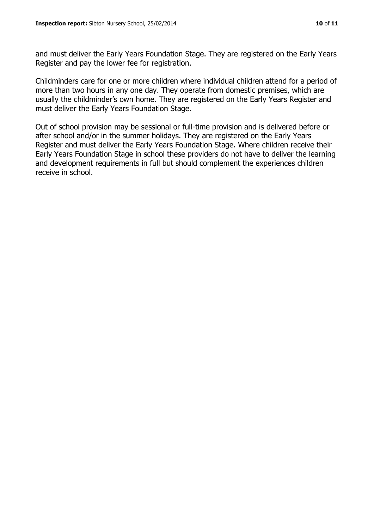and must deliver the Early Years Foundation Stage. They are registered on the Early Years Register and pay the lower fee for registration.

Childminders care for one or more children where individual children attend for a period of more than two hours in any one day. They operate from domestic premises, which are usually the childminder's own home. They are registered on the Early Years Register and must deliver the Early Years Foundation Stage.

Out of school provision may be sessional or full-time provision and is delivered before or after school and/or in the summer holidays. They are registered on the Early Years Register and must deliver the Early Years Foundation Stage. Where children receive their Early Years Foundation Stage in school these providers do not have to deliver the learning and development requirements in full but should complement the experiences children receive in school.